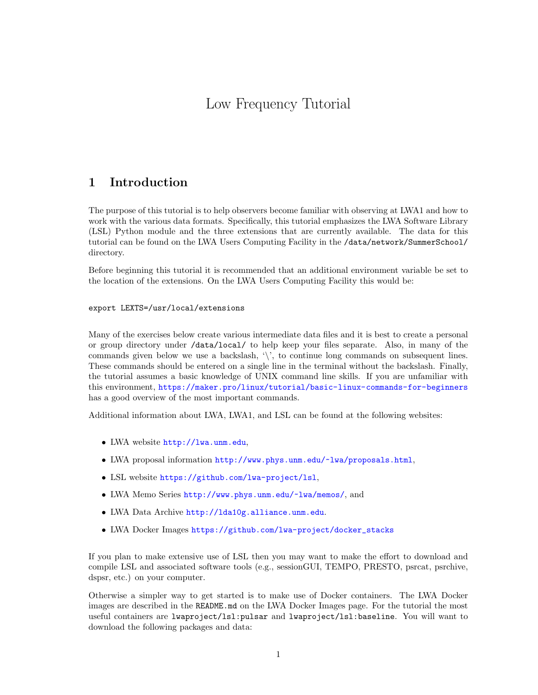# Low Frequency Tutorial

# 1 Introduction

The purpose of this tutorial is to help observers become familiar with observing at LWA1 and how to work with the various data formats. Specifically, this tutorial emphasizes the LWA Software Library (LSL) Python module and the three extensions that are currently available. The data for this tutorial can be found on the LWA Users Computing Facility in the /data/network/SummerSchool/ directory.

Before beginning this tutorial it is recommended that an additional environment variable be set to the location of the extensions. On the LWA Users Computing Facility this would be:

#### export LEXTS=/usr/local/extensions

Many of the exercises below create various intermediate data files and it is best to create a personal or group directory under /data/local/ to help keep your files separate. Also, in many of the commands given below we use a backslash, '\', to continue long commands on subsequent lines. These commands should be entered on a single line in the terminal without the backslash. Finally, the tutorial assumes a basic knowledge of UNIX command line skills. If you are unfamiliar with this environment, <https://maker.pro/linux/tutorial/basic-linux-commands-for-beginners> has a good overview of the most important commands.

Additional information about LWA, LWA1, and LSL can be found at the following websites:

- LWA website <http://lwa.unm.edu>,
- LWA proposal information <http://www.phys.unm.edu/~lwa/proposals.html>,
- LSL website <https://github.com/lwa-project/lsl>,
- LWA Memo Series <http://www.phys.unm.edu/~lwa/memos/>, and
- LWA Data Archive <http://lda10g.alliance.unm.edu>.
- LWA Docker Images [https://github.com/lwa-project/docker\\_stacks](https://github.com/lwa-project/docker_stacks)

If you plan to make extensive use of LSL then you may want to make the effort to download and compile LSL and associated software tools (e.g., sessionGUI, TEMPO, PRESTO, psrcat, psrchive, dspsr, etc.) on your computer.

Otherwise a simpler way to get started is to make use of Docker containers. The LWA Docker images are described in the README.md on the LWA Docker Images page. For the tutorial the most useful containers are lwaproject/lsl:pulsar and lwaproject/lsl:baseline. You will want to download the following packages and data: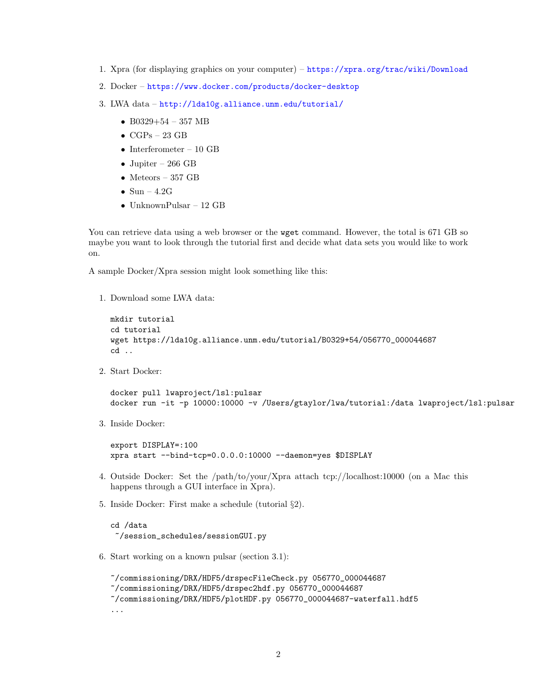- 1. Xpra (for displaying graphics on your computer) <https://xpra.org/trac/wiki/Download>
- 2. Docker <https://www.docker.com/products/docker-desktop>
- 3. LWA data <http://lda10g.alliance.unm.edu/tutorial/>
	- B0329+54 357 MB
	- $\bullet$  CGPs 23 GB
	- Interferometer 10 GB
	- Jupiter 266 GB
	- Meteors 357 GB
	- Sun  $4.2G$
	- UnknownPulsar 12 GB

You can retrieve data using a web browser or the wget command. However, the total is 671 GB so maybe you want to look through the tutorial first and decide what data sets you would like to work on.

A sample Docker/Xpra session might look something like this:

1. Download some LWA data:

```
mkdir tutorial
cd tutorial
wget https://lda10g.alliance.unm.edu/tutorial/B0329+54/056770_000044687
cd ..
```
2. Start Docker:

```
docker pull lwaproject/lsl:pulsar
docker run -it -p 10000:10000 -v /Users/gtaylor/lwa/tutorial:/data lwaproject/lsl:pulsar
```
3. Inside Docker:

```
export DISPLAY=:100
xpra start --bind-tcp=0.0.0.0:10000 --daemon=yes $DISPLAY
```
- 4. Outside Docker: Set the /path/to/your/Xpra attach tcp://localhost:10000 (on a Mac this happens through a GUI interface in Xpra).
- 5. Inside Docker: First make a schedule (tutorial §2).

cd /data ~/session\_schedules/sessionGUI.py

6. Start working on a known pulsar (section 3.1):

```
~/commissioning/DRX/HDF5/drspecFileCheck.py 056770_000044687
~/commissioning/DRX/HDF5/drspec2hdf.py 056770_000044687
~/commissioning/DRX/HDF5/plotHDF.py 056770_000044687-waterfall.hdf5
...
```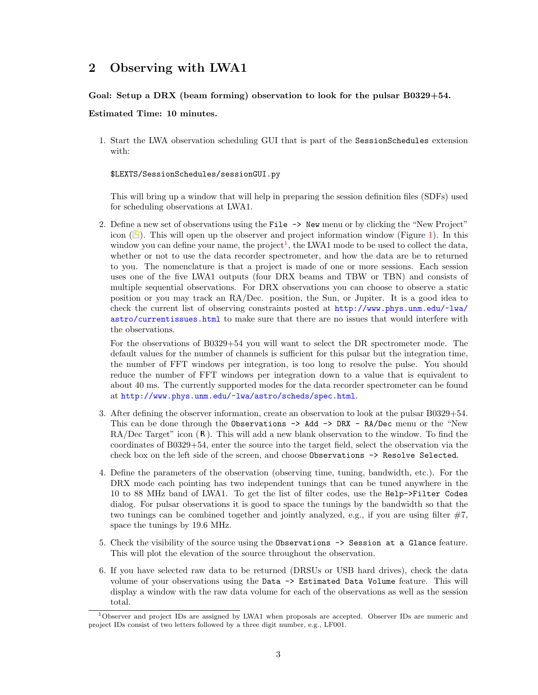# 2 Observing with LWA1

### Goal: Setup a DRX (beam forming) observation to look for the pulsar B0329+54.

#### Estimated Time: 10 minutes.

1. Start the LWA observation scheduling GUI that is part of the SessionSchedules extension with:

\$LEXTS/SessionSchedules/sessionGUI.py

This will bring up a window that will help in preparing the session definition files (SDFs) used for scheduling observations at LWA1.

2. Define a new set of observations using the File -> New menu or by clicking the "New Project" icon  $(\bigcirc)$ . This will open up the observer and project information window (Figure [1\)](#page-3-0). In this window you can define your name, the project<sup>[1](#page-2-0)</sup>, the LWA1 mode to be used to collect the data, whether or not to use the data recorder spectrometer, and how the data are be to returned to you. The nomenclature is that a project is made of one or more sessions. Each session uses one of the five LWA1 outputs (four DRX beams and TBW or TBN) and consists of multiple sequential observations. For DRX observations you can choose to observe a static position or you may track an RA/Dec. position, the Sun, or Jupiter. It is a good idea to check the current list of observing constraints posted at [http://www.phys.unm.edu/~lwa/](http://www.phys.unm.edu/~lwa/astro/currentissues.html) [astro/currentissues.html](http://www.phys.unm.edu/~lwa/astro/currentissues.html) to make sure that there are no issues that would interfere with the observations.

For the observations of B0329+54 you will want to select the DR spectrometer mode. The default values for the number of channels is sufficient for this pulsar but the integration time, the number of FFT windows per integration, is too long to resolve the pulse. You should reduce the number of FFT windows per integration down to a value that is equivalent to about 40 ms. The currently supported modes for the data recorder spectrometer can be found at <http://www.phys.unm.edu/~lwa/astro/scheds/spec.html>.

- 3. After defining the observer information, create an observation to look at the pulsar B0329+54. This can be done through the Observations -> Add -> DRX - RA/Dec menu or the "New  $RA/Dec$  Target" icon  $(R)$ . This will add a new blank observation to the window. To find the coordinates of B0329+54, enter the source into the target field, select the observation via the check box on the left side of the screen, and choose Observations -> Resolve Selected.
- 4. Define the parameters of the observation (observing time, tuning, bandwidth, etc.). For the DRX mode each pointing has two independent tunings that can be tuned anywhere in the 10 to 88 MHz band of LWA1. To get the list of filter codes, use the Help->Filter Codes dialog. For pulsar observations it is good to space the tunings by the bandwidth so that the two tunings can be combined together and jointly analyzed, e.g., if you are using filter #7, space the tunings by 19.6 MHz.
- 5. Check the visibility of the source using the Observations -> Session at a Glance feature. This will plot the elevation of the source throughout the observation.
- 6. If you have selected raw data to be returned (DRSUs or USB hard drives), check the data volume of your observations using the Data -> Estimated Data Volume feature. This will display a window with the raw data volume for each of the observations as well as the session total.

<span id="page-2-0"></span><sup>1</sup>Observer and project IDs are assigned by LWA1 when proposals are accepted. Observer IDs are numeric and project IDs consist of two letters followed by a three digit number, e.g., LF001.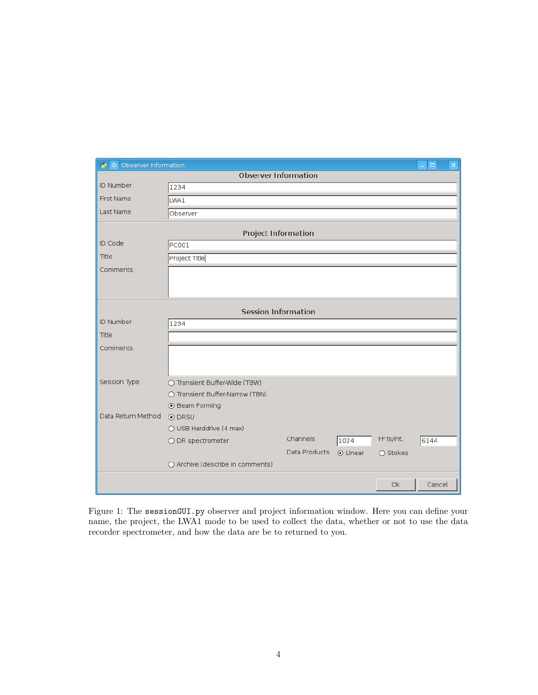| O Observer Information      |                                   |               |          |                   |        |  |  |  |  |  |  |
|-----------------------------|-----------------------------------|---------------|----------|-------------------|--------|--|--|--|--|--|--|
| <b>Observer Information</b> |                                   |               |          |                   |        |  |  |  |  |  |  |
| ID Number                   | 1234                              |               |          |                   |        |  |  |  |  |  |  |
| First Name                  | LWA1                              |               |          |                   |        |  |  |  |  |  |  |
| Last Name                   | Observer                          |               |          |                   |        |  |  |  |  |  |  |
| <b>Project Information</b>  |                                   |               |          |                   |        |  |  |  |  |  |  |
| ID Code                     | <b>PC001</b>                      |               |          |                   |        |  |  |  |  |  |  |
| Title                       | Project Title                     |               |          |                   |        |  |  |  |  |  |  |
| Comments                    |                                   |               |          |                   |        |  |  |  |  |  |  |
|                             |                                   |               |          |                   |        |  |  |  |  |  |  |
|                             |                                   |               |          |                   |        |  |  |  |  |  |  |
| <b>Session Information</b>  |                                   |               |          |                   |        |  |  |  |  |  |  |
| ID Number                   | 1234                              |               |          |                   |        |  |  |  |  |  |  |
| Title                       |                                   |               |          |                   |        |  |  |  |  |  |  |
| Comments                    |                                   |               |          |                   |        |  |  |  |  |  |  |
|                             |                                   |               |          |                   |        |  |  |  |  |  |  |
|                             |                                   |               |          |                   |        |  |  |  |  |  |  |
| Session Type                | ○ Transient Buffer-Wide (TBW)     |               |          |                   |        |  |  |  |  |  |  |
|                             | ○ Transient Buffer-Narrow (TBN)   |               |          |                   |        |  |  |  |  |  |  |
| Data Return Method          | ⊙ Beam Forming                    |               |          |                   |        |  |  |  |  |  |  |
|                             | ⊙ DRSU<br>○ USB Harddrive (4 max) |               |          |                   |        |  |  |  |  |  |  |
|                             |                                   | Channels      |          | FFTs/int.         |        |  |  |  |  |  |  |
|                             | ○ DR spectrometer                 | Data Products | 1024     |                   | 6144   |  |  |  |  |  |  |
|                             | O Archive (describe in comments)  |               | ⊙ Linear | $\bigcirc$ Stokes |        |  |  |  |  |  |  |
|                             |                                   |               |          |                   |        |  |  |  |  |  |  |
|                             |                                   |               |          | Ok                | Cancel |  |  |  |  |  |  |

<span id="page-3-0"></span>Figure 1: The sessionGUI.py observer and project information window. Here you can define your name, the project, the LWA1 mode to be used to collect the data, whether or not to use the data recorder spectrometer, and how the data are be to returned to you.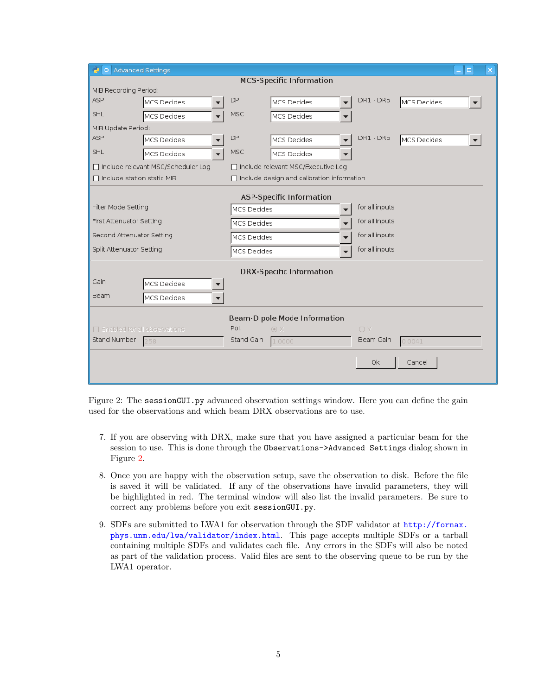| <b>Advanced Settings</b><br>о.       |            |                                              |           |             | $\times$<br>$\Box$ |  |  |  |  |  |
|--------------------------------------|------------|----------------------------------------------|-----------|-------------|--------------------|--|--|--|--|--|
| <b>MCS-Specific Information</b>      |            |                                              |           |             |                    |  |  |  |  |  |
| MIB Recording Period:                |            |                                              |           |             |                    |  |  |  |  |  |
| ASP<br>MCS Decides                   | DP         | MCS Decides                                  | DR1-DR5   | MCS Decides |                    |  |  |  |  |  |
| <b>SHL</b><br>MCS Decides            | <b>MSC</b> | MCS Decides                                  |           |             |                    |  |  |  |  |  |
| MIB Update Period:                   |            |                                              |           |             |                    |  |  |  |  |  |
| ASP<br><b>MCS Decides</b>            | DP         | <b>MCS Decides</b>                           | DR1-DR5   | MCS Decides |                    |  |  |  |  |  |
| SHL<br>MCS Decides                   | MSC        | MCS Decides                                  |           |             |                    |  |  |  |  |  |
| □ Include relevant MSC/Scheduler Log |            | □ Include relevant MSC/Executive Log         |           |             |                    |  |  |  |  |  |
| $\Box$ Include station static MIB    |            | □ Include design and calibration information |           |             |                    |  |  |  |  |  |
| <b>ASP-Specific Information</b>      |            |                                              |           |             |                    |  |  |  |  |  |
| Filter Mode Setting                  |            | MCS Decides<br>▼                             |           |             |                    |  |  |  |  |  |
| First Attenuator Setting             |            | MCS Decides                                  |           |             |                    |  |  |  |  |  |
| Second Attenuator Setting            |            | MCS Decides                                  |           |             |                    |  |  |  |  |  |
| Split Attenuator Setting             |            | MCS Decides<br>$\overline{\phantom{a}}$      |           |             |                    |  |  |  |  |  |
|                                      |            |                                              |           |             |                    |  |  |  |  |  |
| <b>DRX-Specific Information</b>      |            |                                              |           |             |                    |  |  |  |  |  |
| Gain<br><b>MCS Decides</b>           |            |                                              |           |             |                    |  |  |  |  |  |
| Beam<br>MCS Decides                  |            |                                              |           |             |                    |  |  |  |  |  |
| <b>Beam-Dipole Mode Information</b>  |            |                                              |           |             |                    |  |  |  |  |  |
| $\Box$ Enabled for all observations  | OY         |                                              |           |             |                    |  |  |  |  |  |
| Stand Number<br>258                  | Stand Gain | $\odot$ X<br>1.0000                          | Beam Gain | 0.0041      |                    |  |  |  |  |  |
|                                      |            |                                              |           |             |                    |  |  |  |  |  |
|                                      |            |                                              | 0k        | Cancel      |                    |  |  |  |  |  |
|                                      |            |                                              |           |             |                    |  |  |  |  |  |

<span id="page-4-0"></span>Figure 2: The sessionGUI.py advanced observation settings window. Here you can define the gain used for the observations and which beam DRX observations are to use.

- 7. If you are observing with DRX, make sure that you have assigned a particular beam for the session to use. This is done through the Observations->Advanced Settings dialog shown in Figure [2.](#page-4-0)
- 8. Once you are happy with the observation setup, save the observation to disk. Before the file is saved it will be validated. If any of the observations have invalid parameters, they will be highlighted in red. The terminal window will also list the invalid parameters. Be sure to correct any problems before you exit sessionGUI.py.
- 9. SDFs are submitted to LWA1 for observation through the SDF validator at [http://fornax.](http://fornax.phys.unm.edu/lwa/validator/index.html) [phys.unm.edu/lwa/validator/index.html](http://fornax.phys.unm.edu/lwa/validator/index.html). This page accepts multiple SDFs or a tarball containing multiple SDFs and validates each file. Any errors in the SDFs will also be noted as part of the validation process. Valid files are sent to the observing queue to be run by the LWA1 operator.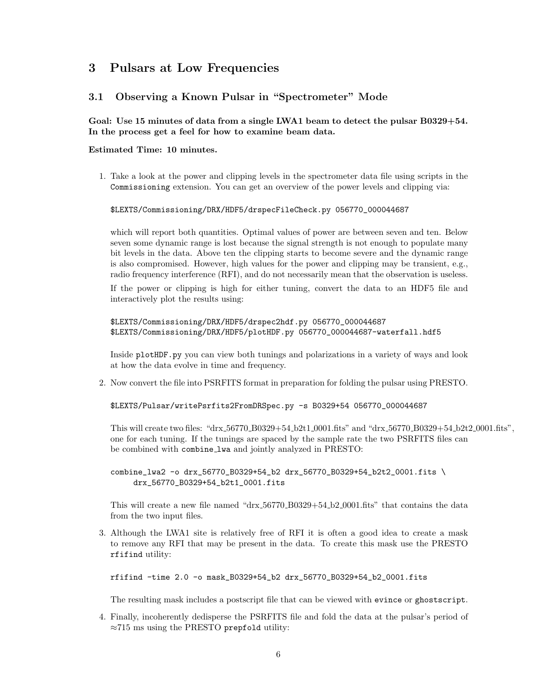# 3 Pulsars at Low Frequencies

# <span id="page-5-0"></span>3.1 Observing a Known Pulsar in "Spectrometer" Mode

## Goal: Use 15 minutes of data from a single LWA1 beam to detect the pulsar B0329+54. In the process get a feel for how to examine beam data.

### Estimated Time: 10 minutes.

1. Take a look at the power and clipping levels in the spectrometer data file using scripts in the Commissioning extension. You can get an overview of the power levels and clipping via:

#### \$LEXTS/Commissioning/DRX/HDF5/drspecFileCheck.py 056770\_000044687

which will report both quantities. Optimal values of power are between seven and ten. Below seven some dynamic range is lost because the signal strength is not enough to populate many bit levels in the data. Above ten the clipping starts to become severe and the dynamic range is also compromised. However, high values for the power and clipping may be transient, e.g., radio frequency interference (RFI), and do not necessarily mean that the observation is useless.

If the power or clipping is high for either tuning, convert the data to an HDF5 file and interactively plot the results using:

\$LEXTS/Commissioning/DRX/HDF5/drspec2hdf.py 056770\_000044687 \$LEXTS/Commissioning/DRX/HDF5/plotHDF.py 056770\_000044687-waterfall.hdf5

Inside plotHDF.py you can view both tunings and polarizations in a variety of ways and look at how the data evolve in time and frequency.

2. Now convert the file into PSRFITS format in preparation for folding the pulsar using PRESTO.

\$LEXTS/Pulsar/writePsrfits2FromDRSpec.py -s B0329+54 056770\_000044687

This will create two files: "drx 56770 B0329+54 b2t1 0001.fits" and "drx 56770 B0329+54 b2t2 0001.fits", one for each tuning. If the tunings are spaced by the sample rate the two PSRFITS files can be combined with combine lwa and jointly analyzed in PRESTO:

combine\_lwa2 -o drx\_56770\_B0329+54\_b2 drx\_56770\_B0329+54\_b2t2\_0001.fits \ drx\_56770\_B0329+54\_b2t1\_0001.fits

This will create a new file named "drx 56770 B0329+54 b2 0001.fits" that contains the data from the two input files.

3. Although the LWA1 site is relatively free of RFI it is often a good idea to create a mask to remove any RFI that may be present in the data. To create this mask use the PRESTO rfifind utility:

rfifind -time 2.0 -o mask\_B0329+54\_b2 drx\_56770\_B0329+54\_b2\_0001.fits

The resulting mask includes a postscript file that can be viewed with evince or ghostscript.

4. Finally, incoherently dedisperse the PSRFITS file and fold the data at the pulsar's period of ≈715 ms using the PRESTO prepfold utility: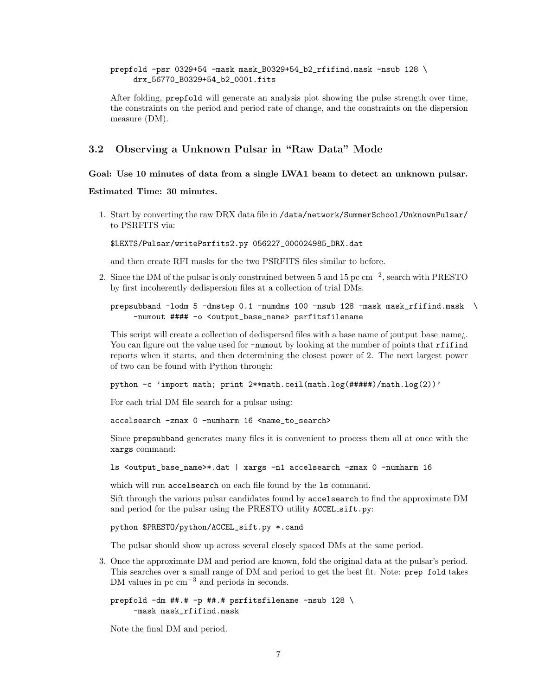#### prepfold -psr 0329+54 -mask mask\_B0329+54\_b2\_rfifind.mask -nsub 128 \ drx\_56770\_B0329+54\_b2\_0001.fits

After folding, prepfold will generate an analysis plot showing the pulse strength over time, the constraints on the period and period rate of change, and the constraints on the dispersion measure (DM).

# <span id="page-6-0"></span>3.2 Observing a Unknown Pulsar in "Raw Data" Mode

#### Goal: Use 10 minutes of data from a single LWA1 beam to detect an unknown pulsar.

#### Estimated Time: 30 minutes.

1. Start by converting the raw DRX data file in /data/network/SummerSchool/UnknownPulsar/ to PSRFITS via:

\$LEXTS/Pulsar/writePsrfits2.py 056227\_000024985\_DRX.dat

and then create RFI masks for the two PSRFITS files similar to before.

2. Since the DM of the pulsar is only constrained between 5 and 15 pc cm<sup>-2</sup>, search with PRESTO by first incoherently dedispersion files at a collection of trial DMs.

### prepsubband -lodm 5 -dmstep 0.1 -numdms 100 -nsub 128 -mask mask\_rfifind.mask \ -numout #### -o <output\_base\_name> psrfitsfilename

This script will create a collection of dedispersed files with a base name of joutput base name. You can figure out the value used for  $\lnot$  -numout by looking at the number of points that rfifind reports when it starts, and then determining the closest power of 2. The next largest power of two can be found with Python through:

python  $-c$  'import math; print  $2* $max$ .ceil(math.log(#####)/math.log(2))'$ 

For each trial DM file search for a pulsar using:

accelsearch -zmax 0 -numharm 16 <name\_to\_search>

Since prepsubband generates many files it is convenient to process them all at once with the xargs command:

ls <output\_base\_name>\*.dat | xargs -n1 accelsearch -zmax 0 -numharm 16

which will run accelsearch on each file found by the 1s command.

Sift through the various pulsar candidates found by accelsearch to find the approximate DM and period for the pulsar using the PRESTO utility ACCEL sift.py:

python \$PRESTO/python/ACCEL\_sift.py \*.cand

The pulsar should show up across several closely spaced DMs at the same period.

3. Once the approximate DM and period are known, fold the original data at the pulsar's period. This searches over a small range of DM and period to get the best fit. Note: prep fold takes DM values in pc cm<sup>−3</sup> and periods in seconds.

```
prepfold -dm ##.# -p ##.# psrfitsfilename -nsub 128 \
     -mask mask_rfifind.mask
```
Note the final DM and period.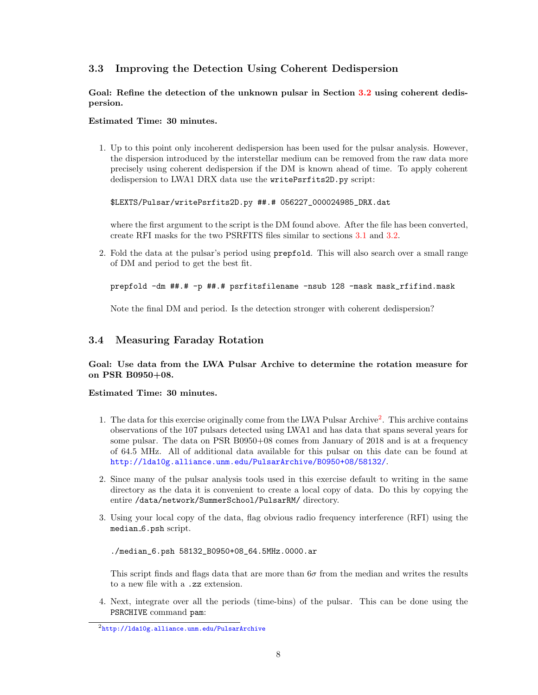# 3.3 Improving the Detection Using Coherent Dedispersion

Goal: Refine the detection of the unknown pulsar in Section [3.2](#page-6-0) using coherent dedispersion.

### Estimated Time: 30 minutes.

1. Up to this point only incoherent dedispersion has been used for the pulsar analysis. However, the dispersion introduced by the interstellar medium can be removed from the raw data more precisely using coherent dedispersion if the DM is known ahead of time. To apply coherent dedispersion to LWA1 DRX data use the writePsrfits2D.py script:

\$LEXTS/Pulsar/writePsrfits2D.py ##.# 056227\_000024985\_DRX.dat

where the first argument to the script is the DM found above. After the file has been converted, create RFI masks for the two PSRFITS files similar to sections [3.1](#page-5-0) and [3.2.](#page-6-0)

2. Fold the data at the pulsar's period using prepfold. This will also search over a small range of DM and period to get the best fit.

```
prepfold -dm ##.# -p ##.# psrfitsfilename -nsub 128 -mask mask_rfifind.mask
```
Note the final DM and period. Is the detection stronger with coherent dedispersion?

# 3.4 Measuring Faraday Rotation

## Goal: Use data from the LWA Pulsar Archive to determine the rotation measure for on PSR B0950+08.

#### Estimated Time: 30 minutes.

- 1. The data for this exercise originally come from the LWA Pulsar Archive<sup>[2](#page-7-0)</sup>. This archive contains observations of the 107 pulsars detected using LWA1 and has data that spans several years for some pulsar. The data on PSR B0950+08 comes from January of 2018 and is at a frequency of 64.5 MHz. All of additional data available for this pulsar on this date can be found at <http://lda10g.alliance.unm.edu/PulsarArchive/B0950+08/58132/>.
- 2. Since many of the pulsar analysis tools used in this exercise default to writing in the same directory as the data it is convenient to create a local copy of data. Do this by copying the entire /data/network/SummerSchool/PulsarRM/ directory.
- 3. Using your local copy of the data, flag obvious radio frequency interference (RFI) using the median 6.psh script.

./median\_6.psh 58132\_B0950+08\_64.5MHz.0000.ar

This script finds and flags data that are more than  $6\sigma$  from the median and writes the results to a new file with a .zz extension.

4. Next, integrate over all the periods (time-bins) of the pulsar. This can be done using the PSRCHIVE command pam:

<span id="page-7-0"></span><sup>2</sup><http://lda10g.alliance.unm.edu/PulsarArchive>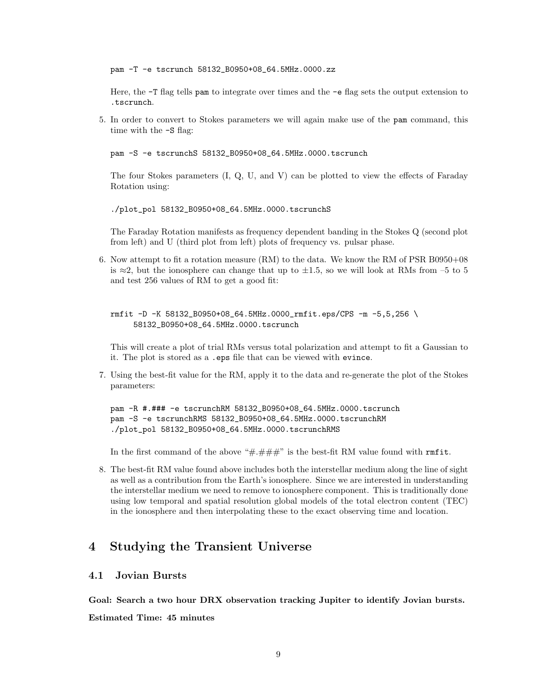pam -T -e tscrunch 58132\_B0950+08\_64.5MHz.0000.zz

Here, the -T flag tells pam to integrate over times and the -e flag sets the output extension to .tscrunch.

5. In order to convert to Stokes parameters we will again make use of the pam command, this time with the -S flag:

pam -S -e tscrunchS 58132\_B0950+08\_64.5MHz.0000.tscrunch

The four Stokes parameters (I, Q, U, and V) can be plotted to view the effects of Faraday Rotation using:

./plot\_pol 58132\_B0950+08\_64.5MHz.0000.tscrunchS

The Faraday Rotation manifests as frequency dependent banding in the Stokes Q (second plot from left) and U (third plot from left) plots of frequency vs. pulsar phase.

6. Now attempt to fit a rotation measure (RM) to the data. We know the RM of PSR B0950+08 is  $\approx$ 2, but the ionosphere can change that up to  $\pm$ 1.5, so we will look at RMs from –5 to 5 and test 256 values of RM to get a good fit:

rmfit -D -K 58132\_B0950+08\_64.5MHz.0000\_rmfit.eps/CPS -m -5,5,256 \ 58132\_B0950+08\_64.5MHz.0000.tscrunch

This will create a plot of trial RMs versus total polarization and attempt to fit a Gaussian to it. The plot is stored as a .eps file that can be viewed with evince.

7. Using the best-fit value for the RM, apply it to the data and re-generate the plot of the Stokes parameters:

pam -R #.### -e tscrunchRM 58132\_B0950+08\_64.5MHz.0000.tscrunch pam -S -e tscrunchRMS 58132\_B0950+08\_64.5MHz.0000.tscrunchRM ./plot\_pol 58132\_B0950+08\_64.5MHz.0000.tscrunchRMS

In the first command of the above " $\#.\# \# \#''$  is the best-fit RM value found with  $\text{rm }f$  it.

8. The best-fit RM value found above includes both the interstellar medium along the line of sight as well as a contribution from the Earth's ionosphere. Since we are interested in understanding the interstellar medium we need to remove to ionosphere component. This is traditionally done using low temporal and spatial resolution global models of the total electron content (TEC) in the ionosphere and then interpolating these to the exact observing time and location.

# 4 Studying the Transient Universe

# 4.1 Jovian Bursts

Goal: Search a two hour DRX observation tracking Jupiter to identify Jovian bursts.

Estimated Time: 45 minutes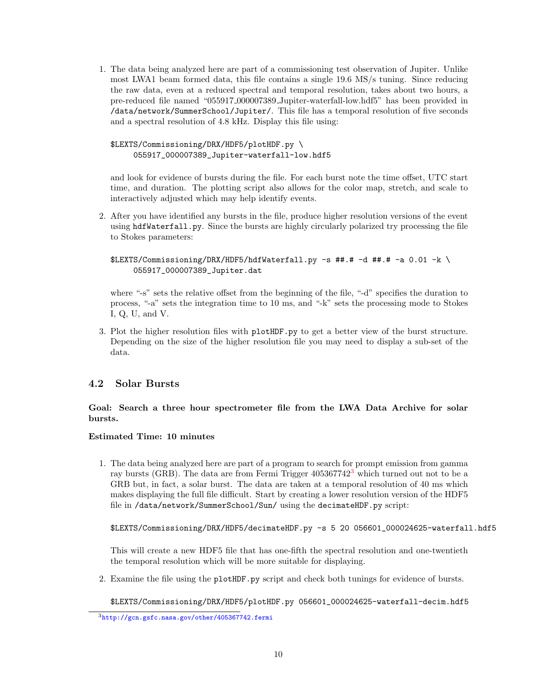1. The data being analyzed here are part of a commissioning test observation of Jupiter. Unlike most LWA1 beam formed data, this file contains a single 19.6 MS/s tuning. Since reducing the raw data, even at a reduced spectral and temporal resolution, takes about two hours, a pre-reduced file named "055917 000007389 Jupiter-waterfall-low.hdf5" has been provided in /data/network/SummerSchool/Jupiter/. This file has a temporal resolution of five seconds and a spectral resolution of 4.8 kHz. Display this file using:

```
$LEXTS/Commissioning/DRX/HDF5/plotHDF.py \
     055917_000007389_Jupiter-waterfall-low.hdf5
```
and look for evidence of bursts during the file. For each burst note the time offset, UTC start time, and duration. The plotting script also allows for the color map, stretch, and scale to interactively adjusted which may help identify events.

2. After you have identified any bursts in the file, produce higher resolution versions of the event using hdfWaterfall.py. Since the bursts are highly circularly polarized try processing the file to Stokes parameters:

```
$LEXTS/Commissioning/DRX/HDF5/hdfWaterfall.py -s ##.# -d ##.# -a 0.01 -k \
     055917_000007389_Jupiter.dat
```
where "-s" sets the relative offset from the beginning of the file, "-d" specifies the duration to process, "-a" sets the integration time to 10 ms, and "-k" sets the processing mode to Stokes I, Q, U, and V.

3. Plot the higher resolution files with plotHDF.py to get a better view of the burst structure. Depending on the size of the higher resolution file you may need to display a sub-set of the data.

# 4.2 Solar Bursts

## Goal: Search a three hour spectrometer file from the LWA Data Archive for solar bursts.

## Estimated Time: 10 minutes

1. The data being analyzed here are part of a program to search for prompt emission from gamma ray bursts (GRB). The data are from Fermi Trigger 405367742[3](#page-9-0) which turned out not to be a GRB but, in fact, a solar burst. The data are taken at a temporal resolution of 40 ms which makes displaying the full file difficult. Start by creating a lower resolution version of the HDF5 file in /data/network/SummerSchool/Sun/ using the decimateHDF.py script:

\$LEXTS/Commissioning/DRX/HDF5/decimateHDF.py -s 5 20 056601\_000024625-waterfall.hdf5

This will create a new HDF5 file that has one-fifth the spectral resolution and one-twentieth the temporal resolution which will be more suitable for displaying.

2. Examine the file using the plotHDF.py script and check both tunings for evidence of bursts.

\$LEXTS/Commissioning/DRX/HDF5/plotHDF.py 056601\_000024625-waterfall-decim.hdf5

<span id="page-9-0"></span><sup>3</sup><http://gcn.gsfc.nasa.gov/other/405367742.fermi>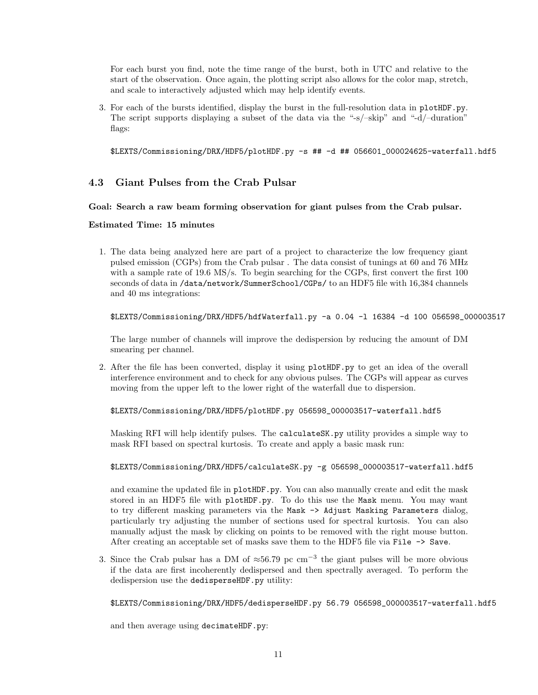For each burst you find, note the time range of the burst, both in UTC and relative to the start of the observation. Once again, the plotting script also allows for the color map, stretch, and scale to interactively adjusted which may help identify events.

3. For each of the bursts identified, display the burst in the full-resolution data in plotHDF.py. The script supports displaying a subset of the data via the "-s/–skip" and "-d/–duration" flags:

\$LEXTS/Commissioning/DRX/HDF5/plotHDF.py -s ## -d ## 056601\_000024625-waterfall.hdf5

# 4.3 Giant Pulses from the Crab Pulsar

#### Goal: Search a raw beam forming observation for giant pulses from the Crab pulsar.

#### Estimated Time: 15 minutes

1. The data being analyzed here are part of a project to characterize the low frequency giant pulsed emission (CGPs) from the Crab pulsar . The data consist of tunings at 60 and 76 MHz with a sample rate of 19.6 MS/s. To begin searching for the CGPs, first convert the first 100 seconds of data in /data/network/SummerSchool/CGPs/ to an HDF5 file with 16,384 channels and 40 ms integrations:

```
$LEXTS/Commissioning/DRX/HDF5/hdfWaterfall.py -a 0.04 -l 16384 -d 100 056598_000003517
```
The large number of channels will improve the dedispersion by reducing the amount of DM smearing per channel.

2. After the file has been converted, display it using plotHDF.py to get an idea of the overall interference environment and to check for any obvious pulses. The CGPs will appear as curves moving from the upper left to the lower right of the waterfall due to dispersion.

\$LEXTS/Commissioning/DRX/HDF5/plotHDF.py 056598\_000003517-waterfall.hdf5

Masking RFI will help identify pulses. The calculateSK.py utility provides a simple way to mask RFI based on spectral kurtosis. To create and apply a basic mask run:

#### \$LEXTS/Commissioning/DRX/HDF5/calculateSK.py -g 056598\_000003517-waterfall.hdf5

and examine the updated file in plotHDF.py. You can also manually create and edit the mask stored in an HDF5 file with plotHDF.py. To do this use the Mask menu. You may want to try different masking parameters via the Mask -> Adjust Masking Parameters dialog, particularly try adjusting the number of sections used for spectral kurtosis. You can also manually adjust the mask by clicking on points to be removed with the right mouse button. After creating an acceptable set of masks save them to the HDF5 file via File -> Save.

3. Since the Crab pulsar has a DM of  $\approx 56.79$  pc cm<sup>-3</sup> the giant pulses will be more obvious if the data are first incoherently dedispersed and then spectrally averaged. To perform the dedispersion use the dedisperseHDF.py utility:

\$LEXTS/Commissioning/DRX/HDF5/dedisperseHDF.py 56.79 056598\_000003517-waterfall.hdf5

and then average using decimateHDF.py: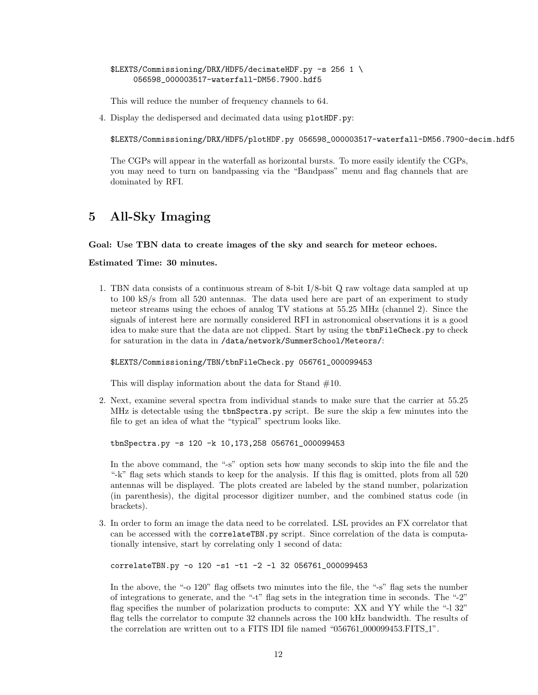\$LEXTS/Commissioning/DRX/HDF5/decimateHDF.py -s 256 1 \ 056598\_000003517-waterfall-DM56.7900.hdf5

This will reduce the number of frequency channels to 64.

4. Display the dedispersed and decimated data using plotHDF.py:

\$LEXTS/Commissioning/DRX/HDF5/plotHDF.py 056598\_000003517-waterfall-DM56.7900-decim.hdf5

The CGPs will appear in the waterfall as horizontal bursts. To more easily identify the CGPs, you may need to turn on bandpassing via the "Bandpass" menu and flag channels that are dominated by RFI.

# 5 All-Sky Imaging

#### Goal: Use TBN data to create images of the sky and search for meteor echoes.

Estimated Time: 30 minutes.

1. TBN data consists of a continuous stream of 8-bit I/8-bit Q raw voltage data sampled at up to 100 kS/s from all 520 antennas. The data used here are part of an experiment to study meteor streams using the echoes of analog TV stations at 55.25 MHz (channel 2). Since the signals of interest here are normally considered RFI in astronomical observations it is a good idea to make sure that the data are not clipped. Start by using the tbnFileCheck.py to check for saturation in the data in /data/network/SummerSchool/Meteors/:

\$LEXTS/Commissioning/TBN/tbnFileCheck.py 056761\_000099453

This will display information about the data for Stand #10.

2. Next, examine several spectra from individual stands to make sure that the carrier at 55.25 MHz is detectable using the tbnSpectra.py script. Be sure the skip a few minutes into the file to get an idea of what the "typical" spectrum looks like.

tbnSpectra.py -s 120 -k 10,173,258 056761\_000099453

In the above command, the "-s" option sets how many seconds to skip into the file and the "-k" flag sets which stands to keep for the analysis. If this flag is omitted, plots from all 520 antennas will be displayed. The plots created are labeled by the stand number, polarization (in parenthesis), the digital processor digitizer number, and the combined status code (in brackets).

3. In order to form an image the data need to be correlated. LSL provides an FX correlator that can be accessed with the correlateTBN.py script. Since correlation of the data is computationally intensive, start by correlating only 1 second of data:

correlateTBN.py -o 120 -s1 -t1 -2 -l 32 056761\_000099453

In the above, the "-o 120" flag offsets two minutes into the file, the "-s" flag sets the number of integrations to generate, and the "-t" flag sets in the integration time in seconds. The "-2" flag specifies the number of polarization products to compute: XX and YY while the "-l 32" flag tells the correlator to compute 32 channels across the 100 kHz bandwidth. The results of the correlation are written out to a FITS IDI file named "056761\_000099453.FITS\_1".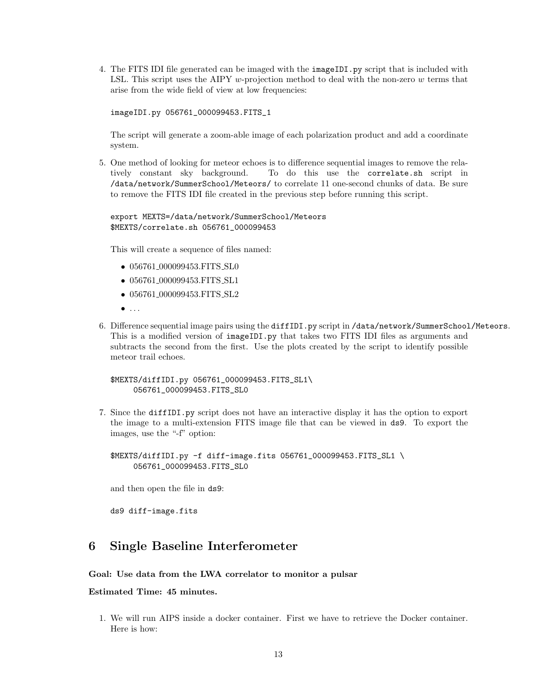4. The FITS IDI file generated can be imaged with the imageIDI.py script that is included with LSL. This script uses the AIPY w-projection method to deal with the non-zero  $w$  terms that arise from the wide field of view at low frequencies:

imageIDI.py 056761\_000099453.FITS\_1

The script will generate a zoom-able image of each polarization product and add a coordinate system.

5. One method of looking for meteor echoes is to difference sequential images to remove the relatively constant sky background. To do this use the correlate.sh script in /data/network/SummerSchool/Meteors/ to correlate 11 one-second chunks of data. Be sure to remove the FITS IDI file created in the previous step before running this script.

#### export MEXTS=/data/network/SummerSchool/Meteors \$MEXTS/correlate.sh 056761\_000099453

This will create a sequence of files named:

- 056761\_000099453.FITS\_SL0
- 056761<sub>-000099453</sub>.FITS\_SL1
- 056761\_000099453.FITS\_SL2
- $\bullet$  . . .
- 6. Difference sequential image pairs using the diffIDI.py script in /data/network/SummerSchool/Meteors. This is a modified version of imageIDI.py that takes two FITS IDI files as arguments and subtracts the second from the first. Use the plots created by the script to identify possible meteor trail echoes.

\$MEXTS/diffIDI.py 056761\_000099453.FITS\_SL1\ 056761\_000099453.FITS\_SL0

7. Since the diffIDI.py script does not have an interactive display it has the option to export the image to a multi-extension FITS image file that can be viewed in ds9. To export the images, use the "-f" option:

\$MEXTS/diffIDI.py -f diff-image.fits 056761\_000099453.FITS\_SL1 \ 056761\_000099453.FITS\_SL0

and then open the file in ds9:

ds9 diff-image.fits

# 6 Single Baseline Interferometer

#### Goal: Use data from the LWA correlator to monitor a pulsar

## Estimated Time: 45 minutes.

1. We will run AIPS inside a docker container. First we have to retrieve the Docker container. Here is how: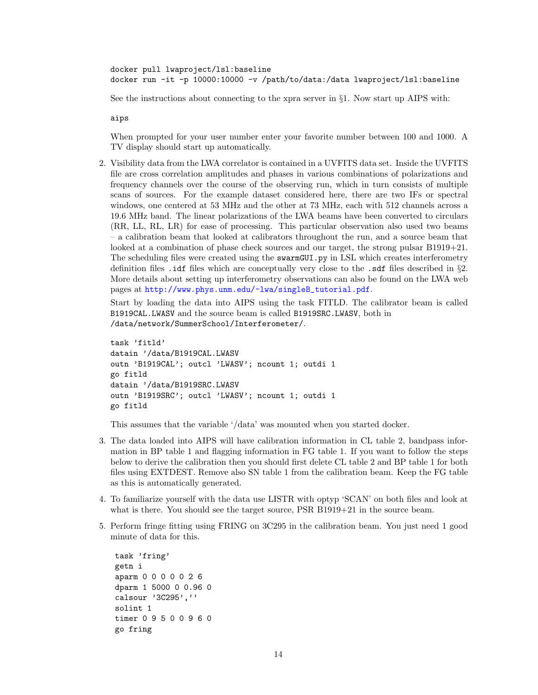docker pull lwaproject/lsl:baseline docker run -it -p 10000:10000 -v /path/to/data:/data lwaproject/lsl:baseline

See the instructions about connecting to the xpra server in §1. Now start up AIPS with:

aips

When prompted for your user number enter your favorite number between 100 and 1000. A TV display should start up automatically.

2. Visibility data from the LWA correlator is contained in a UVFITS data set. Inside the UVFITS file are cross correlation amplitudes and phases in various combinations of polarizations and frequency channels over the course of the observing run, which in turn consists of multiple scans of sources. For the example dataset considered here, there are two IFs or spectral windows, one centered at 53 MHz and the other at 73 MHz, each with 512 channels across a 19.6 MHz band. The linear polarizations of the LWA beams have been converted to circulars (RR, LL, RL, LR) for ease of processing. This particular observation also used two beams – a calibration beam that looked at calibrators throughout the run, and a source beam that looked at a combination of phase check sources and our target, the strong pulsar B1919+21. The scheduling files were created using the swarmGUI.py in LSL which creates interferometry definition files .idf files which are conceptually very close to the .sdf files described in §2. More details about setting up interferometry observations can also be found on the LWA web pages at [http://www.phys.unm.edu/~lwa/singleB\\_tutorial.pdf](http://www.phys.unm.edu/~lwa/singleB_tutorial.pdf).

Start by loading the data into AIPS using the task FITLD. The calibrator beam is called B1919CAL.LWASV and the source beam is called B1919SRC.LWASV, both in /data/network/SummerSchool/Interferometer/.

```
task 'fitld'
datain '/data/B1919CAL.LWASV
outn 'B1919CAL'; outcl 'LWASV'; ncount 1; outdi 1
go fitld
datain '/data/B1919SRC.LWASV
outn 'B1919SRC'; outcl 'LWASV'; ncount 1; outdi 1
go fitld
```
This assumes that the variable '/data' was mounted when you started docker.

- 3. The data loaded into AIPS will have calibration information in CL table 2, bandpass information in BP table 1 and flagging information in FG table 1. If you want to follow the steps below to derive the calibration then you should first delete CL table 2 and BP table 1 for both files using EXTDEST. Remove also SN table 1 from the calibration beam. Keep the FG table as this is automatically generated.
- 4. To familiarize yourself with the data use LISTR with optyp 'SCAN' on both files and look at what is there. You should see the target source, PSR B1919+21 in the source beam.
- 5. Perform fringe fitting using FRING on 3C295 in the calibration beam. You just need 1 good minute of data for this.

```
task 'fring'
getn i
aparm 0 0 0 0 0 2 6
dparm 1 5000 0 0.96 0
calsour '3C295',''
solint 1
timer 0 9 5 0 0 9 6 0
go fring
```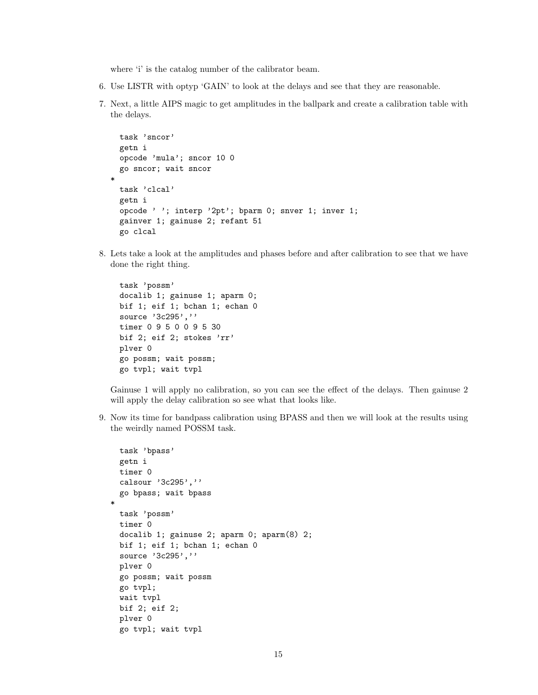where 'i' is the catalog number of the calibrator beam.

- 6. Use LISTR with optyp 'GAIN' to look at the delays and see that they are reasonable.
- 7. Next, a little AIPS magic to get amplitudes in the ballpark and create a calibration table with the delays.

```
task 'sncor'
 getn i
 opcode 'mula'; sncor 10 0
 go sncor; wait sncor
*
 task 'clcal'
 getn i
 opcode ' '; interp '2pt'; bparm 0; snver 1; inver 1;
 gainver 1; gainuse 2; refant 51
 go clcal
```
8. Lets take a look at the amplitudes and phases before and after calibration to see that we have done the right thing.

```
task 'possm'
docalib 1; gainuse 1; aparm 0;
bif 1; eif 1; bchan 1; echan 0
source '3c295',''
timer 0 9 5 0 0 9 5 30
bif 2; eif 2; stokes 'rr'
plver 0
go possm; wait possm;
go tvpl; wait tvpl
```
Gainuse 1 will apply no calibration, so you can see the effect of the delays. Then gainuse 2 will apply the delay calibration so see what that looks like.

9. Now its time for bandpass calibration using BPASS and then we will look at the results using the weirdly named POSSM task.

```
task 'bpass'
 getn i
 timer 0
 calsour '3c295',''
 go bpass; wait bpass
*
 task 'possm'
 timer 0
 docalib 1; gainuse 2; aparm 0; aparm(8) 2;
 bif 1; eif 1; bchan 1; echan 0
 source '3c295',''
 plver 0
 go possm; wait possm
 go tvpl;
 wait tvpl
 bif 2; eif 2;
 plver 0
 go tvpl; wait tvpl
```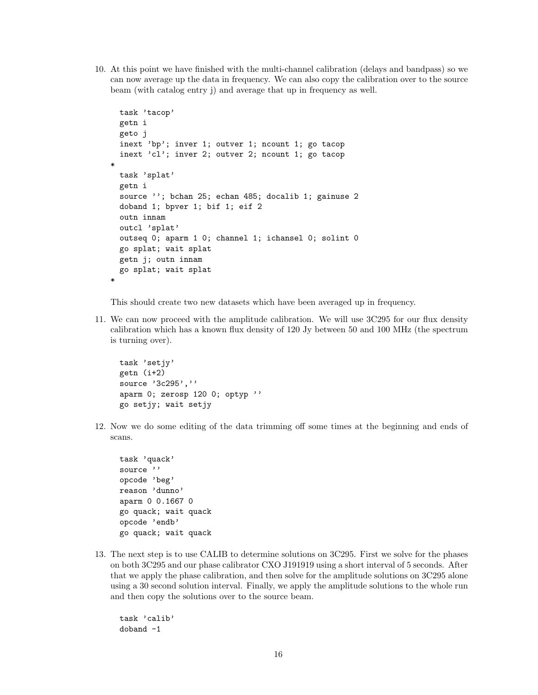10. At this point we have finished with the multi-channel calibration (delays and bandpass) so we can now average up the data in frequency. We can also copy the calibration over to the source beam (with catalog entry j) and average that up in frequency as well.

```
task 'tacop'
 getn i
 geto j
 inext 'bp'; inver 1; outver 1; ncount 1; go tacop
 inext 'cl'; inver 2; outver 2; ncount 1; go tacop
*
 task 'splat'
 getn i
 source ''; bchan 25; echan 485; docalib 1; gainuse 2
 doband 1; bpver 1; bif 1; eif 2
 outn innam
 outcl 'splat'
 outseq 0; aparm 1 0; channel 1; ichansel 0; solint 0
 go splat; wait splat
 getn j; outn innam
 go splat; wait splat
*
```
This should create two new datasets which have been averaged up in frequency.

11. We can now proceed with the amplitude calibration. We will use 3C295 for our flux density calibration which has a known flux density of 120 Jy between 50 and 100 MHz (the spectrum is turning over).

```
task 'setjy'
getn (i+2)
source '3c295',''
aparm 0; zerosp 120 0; optyp ''
go setjy; wait setjy
```
12. Now we do some editing of the data trimming off some times at the beginning and ends of scans.

task 'quack' source '' opcode 'beg' reason 'dunno' aparm 0 0.1667 0 go quack; wait quack opcode 'endb' go quack; wait quack

13. The next step is to use CALIB to determine solutions on 3C295. First we solve for the phases on both 3C295 and our phase calibrator CXO J191919 using a short interval of 5 seconds. After that we apply the phase calibration, and then solve for the amplitude solutions on 3C295 alone using a 30 second solution interval. Finally, we apply the amplitude solutions to the whole run and then copy the solutions over to the source beam.

task 'calib' doband -1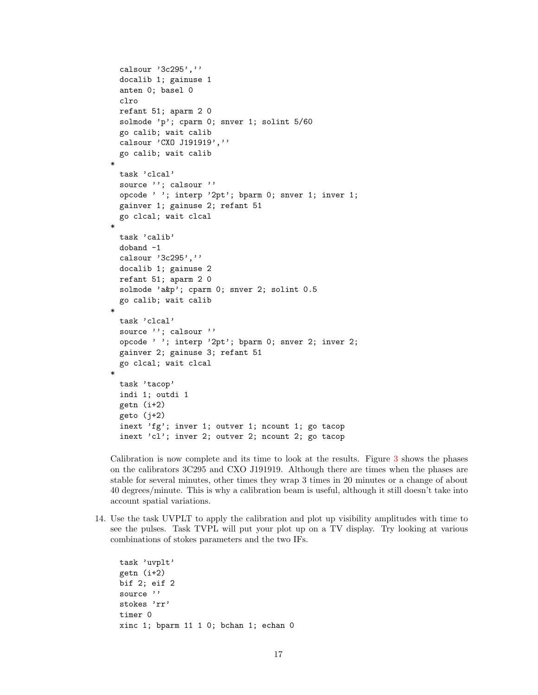```
calsour '3c295',''
 docalib 1; gainuse 1
 anten 0; basel 0
 clro
 refant 51; aparm 2 0
 solmode 'p'; cparm 0; snver 1; solint 5/60
 go calib; wait calib
 calsour 'CXO J191919',''
 go calib; wait calib
*
 task 'clcal'
 source ''; calsour ''
 opcode ' '; interp '2pt'; bparm 0; snver 1; inver 1;
 gainver 1; gainuse 2; refant 51
 go clcal; wait clcal
*
 task 'calib'
 doband -1
 calsour '3c295',''
 docalib 1; gainuse 2
 refant 51; aparm 2 0
 solmode 'a&p'; cparm 0; snver 2; solint 0.5
 go calib; wait calib
*
 task 'clcal'
 source ''; calsour ''
 opcode ' '; interp '2pt'; bparm 0; snver 2; inver 2;
 gainver 2; gainuse 3; refant 51
 go clcal; wait clcal
*
 task 'tacop'
 indi 1; outdi 1
 getn (i+2)
 geto (j+2)
 inext 'fg'; inver 1; outver 1; ncount 1; go tacop
 inext 'cl'; inver 2; outver 2; ncount 2; go tacop
```
Calibration is now complete and its time to look at the results. Figure [3](#page-17-0) shows the phases on the calibrators 3C295 and CXO J191919. Although there are times when the phases are stable for several minutes, other times they wrap 3 times in 20 minutes or a change of about 40 degrees/minute. This is why a calibration beam is useful, although it still doesn't take into account spatial variations.

14. Use the task UVPLT to apply the calibration and plot up visibility amplitudes with time to see the pulses. Task TVPL will put your plot up on a TV display. Try looking at various combinations of stokes parameters and the two IFs.

```
task 'uvplt'
getn (i+2)
bif 2; eif 2
source ''
stokes 'rr'
timer 0
xinc 1; bparm 11 1 0; bchan 1; echan 0
```